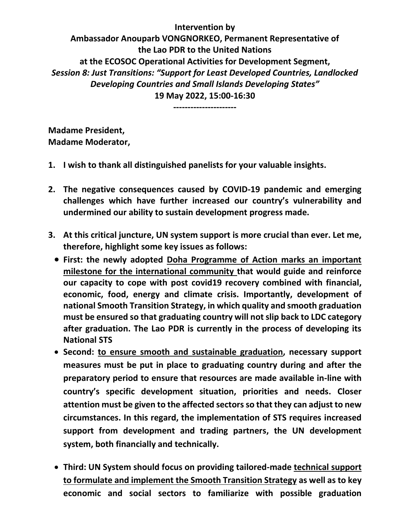**Intervention by Ambassador Anouparb VONGNORKEO, Permanent Representative of the Lao PDR to the United Nations at the ECOSOC Operational Activities for Development Segment,** *Session 8: Just Transitions: "Support for Least Developed Countries, Landlocked Developing Countries and Small Islands Developing States"* **19 May 2022, 15:00-16:30**

**----------------------**

**Madame President, Madame Moderator,** 

- **1. I wish to thank all distinguished panelists for your valuable insights.**
- **2. The negative consequences caused by COVID-19 pandemic and emerging challenges which have further increased our country's vulnerability and undermined our ability to sustain development progress made.**
- **3. At this critical juncture, UN system support is more crucial than ever. Let me, therefore, highlight some key issues as follows:**
	- **First: the newly adopted Doha Programme of Action marks an important milestone for the international community that would guide and reinforce our capacity to cope with post covid19 recovery combined with financial, economic, food, energy and climate crisis. Importantly, development of national Smooth Transition Strategy, in which quality and smooth graduation must be ensured so that graduating country will not slip back to LDC category after graduation. The Lao PDR is currently in the process of developing its National STS**
	- **Second: to ensure smooth and sustainable graduation, necessary support measures must be put in place to graduating country during and after the preparatory period to ensure that resources are made available in-line with country's specific development situation, priorities and needs. Closer attention must be given to the affected sectorsso that they can adjust to new circumstances. In this regard, the implementation of STS requires increased support from development and trading partners, the UN development system, both financially and technically.**
	- **Third: UN System should focus on providing tailored-made technical support to formulate and implement the Smooth Transition Strategy as well as to key economic and social sectors to familiarize with possible graduation**